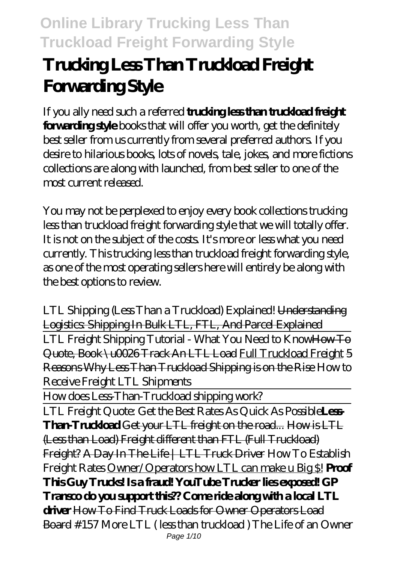# **Trucking Less Than Truckload Freight Forwarding Style**

If you ally need such a referred **trucking less than truckload freight forwarding style** books that will offer you worth, get the definitely best seller from us currently from several preferred authors. If you desire to hilarious books, lots of novels, tale, jokes, and more fictions collections are along with launched, from best seller to one of the most current released.

You may not be perplexed to enjoy every book collections trucking less than truckload freight forwarding style that we will totally offer. It is not on the subject of the costs. It's more or less what you need currently. This trucking less than truckload freight forwarding style, as one of the most operating sellers here will entirely be along with the best options to review.

*LTL Shipping (Less Than a Truckload) Explained!* Understanding Logistics: Shipping In Bulk LTL, FTL, And Parcel Explained LTL Freight Shipping Tutorial - What You Need to KnowHow To Quote, Book \u0026 Track An LTL Load Full Truckload Freight 5 Reasons Why Less Than Truckload Shipping is on the Rise *How to Receive Freight LTL Shipments*

How does Less-Than-Truckload shipping work?

LTL Freight Quote: Get the Best Rates As Quick As Possible**Less-Than-Truckload** Get your LTL freight on the road... How is LTL (Less than Load) Freight different than FTL (Full Truckload) Freight? A Day In The Life | LTL Truck Driver How To Establish Freight Rates Owner/Operators how LTL can make u Big \$! **Proof This Guy Trucks! Is a fraud! YouTube Trucker lies exposed! GP Transco do you support this?? Come ride along with a local LTL driver** How To Find Truck Loads for Owner Operators Load Board *#157 More LTL ( less than truckload ) The Life of an Owner* Page 1/10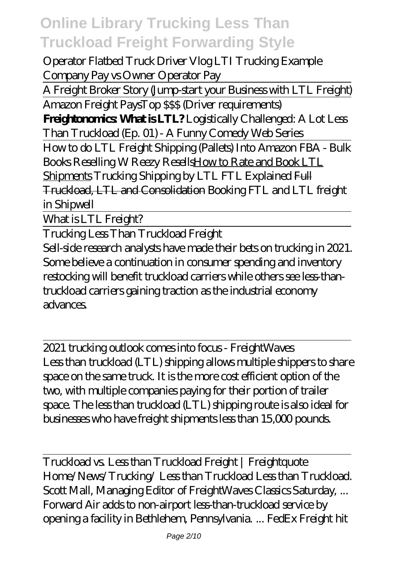*Operator Flatbed Truck Driver Vlog LTI Trucking Example Company Pay vs Owner Operator Pay*

A Freight Broker Story (Jump-start your Business with LTL Freight) Amazon Freight PaysTop \$\$\$ (Driver requirements)

**Freightonomics: What is LTL?** *Logistically Challenged: A Lot Less Than Truckload (Ep. 01) - A Funny Comedy Web Series*

How to do LTL Freight Shipping (Pallets) Into Amazon FBA - Bulk Books Reselling W Reezy ResellsHow to Rate and Book LTL Shipments *Trucking Shipping by LTL FTL Explained* Full Truckload, LTL and Consolidation *Booking FTL and LTL freight in Shipwell*

What is LTL Freight?

Trucking Less Than Truckload Freight

Sell-side research analysts have made their bets on trucking in 2021. Some believe a continuation in consumer spending and inventory restocking will benefit truckload carriers while others see less-thantruckload carriers gaining traction as the industrial economy advances.

2021 trucking outlook comes into focus - FreightWaves Less than truckload (LTL) shipping allows multiple shippers to share space on the same truck. It is the more cost efficient option of the two, with multiple companies paying for their portion of trailer space. The less than truckload (LTL) shipping route is also ideal for businesses who have freight shipments less than 15,000 pounds.

Truckload vs. Less than Truckload Freight | Freightquote Home/News/Trucking/ Less than Truckload Less than Truckload. Scott Mall, Managing Editor of FreightWaves Classics Saturday, ... Forward Air adds to non-airport less-than-truckload service by opening a facility in Bethlehem, Pennsylvania. ... FedEx Freight hit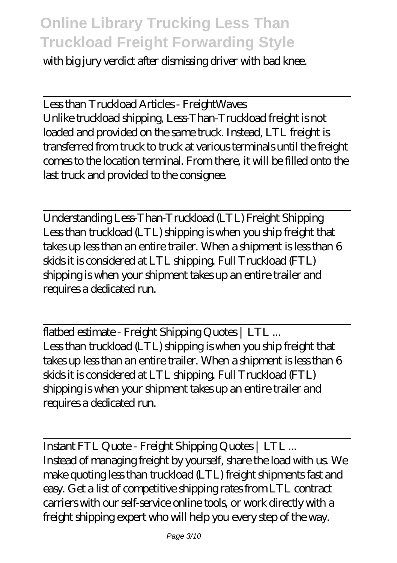with big jury verdict after dismissing driver with bad knee.

Less than Truckload Articles - FreightWaves Unlike truckload shipping, Less-Than-Truckload freight is not loaded and provided on the same truck. Instead, LTL freight is transferred from truck to truck at various terminals until the freight comes to the location terminal. From there, it will be filled onto the last truck and provided to the consignee.

Understanding Less-Than-Truckload (LTL) Freight Shipping Less than truckload (LTL) shipping is when you ship freight that takes up less than an entire trailer. When a shipment is less than 6 skids it is considered at LTL shipping. Full Truckload (FTL) shipping is when your shipment takes up an entire trailer and requires a dedicated run.

flatbed estimate - Freight Shipping Quotes | LTL ... Less than truckload (LTL) shipping is when you ship freight that takes up less than an entire trailer. When a shipment is less than 6 skids it is considered at LTL shipping. Full Truckload (FTL) shipping is when your shipment takes up an entire trailer and requires a dedicated run.

Instant FTL Quote - Freight Shipping Quotes | LTL ... Instead of managing freight by yourself, share the load with us. We make quoting less than truckload (LTL) freight shipments fast and easy. Get a list of competitive shipping rates from LTL contract carriers with our self-service online tools, or work directly with a freight shipping expert who will help you every step of the way.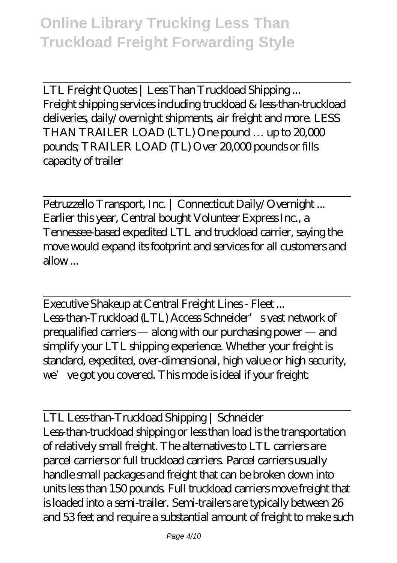LTL Freight Quotes | Less Than Truckload Shipping ... Freight shipping services including truckload & less-than-truckload deliveries, daily/overnight shipments, air freight and more. LESS THAN TRAILER LOAD  $(LTL)$  One pound  $\ldots$  up to  $20,000$ pounds; TRAILER LOAD (TL) Over 20,000 pounds or fills capacity of trailer

Petruzzello Transport, Inc. | Connecticut Daily/Overnight ... Earlier this year, Central bought Volunteer Express Inc., a Tennessee-based expedited LTL and truckload carrier, saying the move would expand its footprint and services for all customers and  $\mathbf{a}$ llow

Executive Shakeup at Central Freight Lines - Fleet ... Less-than-Truckload (LTL) Access Schneider's vast network of prequalified carriers — along with our purchasing power — and simplify your LTL shipping experience. Whether your freight is standard, expedited, over-dimensional, high value or high security, we've got you covered. This mode is ideal if your freight:

LTL Less-than-Truckload Shipping | Schneider Less-than-truckload shipping or less than load is the transportation of relatively small freight. The alternatives to LTL carriers are parcel carriers or full truckload carriers. Parcel carriers usually handle small packages and freight that can be broken down into units less than 150 pounds. Full truckload carriers move freight that is loaded into a semi-trailer. Semi-trailers are typically between 26 and 53 feet and require a substantial amount of freight to make such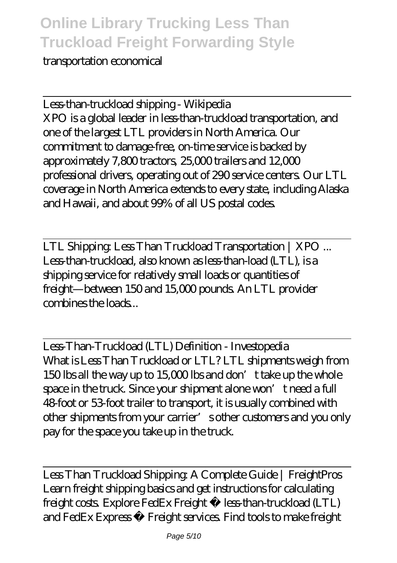#### transportation economical

Less-than-truckload shipping - Wikipedia XPO is a global leader in less-than-truckload transportation, and one of the largest LTL providers in North America. Our commitment to damage-free, on-time service is backed by approximately 7,800 tractors, 25,000 trailers and 12,000 professional drivers, operating out of 290 service centers. Our LTL coverage in North America extends to every state, including Alaska and Hawaii, and about 99% of all US postal codes.

LTL Shipping: Less Than Truckload Transportation | XPO ... Less-than-truckload, also known as less-than-load (LTL), is a shipping service for relatively small loads or quantities of freight—between 150 and 15,000 pounds. An LTL provider combines the loads...

Less-Than-Truckload (LTL) Definition - Investopedia What is Less Than Truckload or LTL? LTL shipments weigh from 150 lbs all the way up to  $15000$  lbs and don't take up the whole space in the truck. Since your shipment alone won't need a full 48-foot or 53-foot trailer to transport, it is usually combined with other shipments from your carrier' sother customers and you only pay for the space you take up in the truck.

Less Than Truckload Shipping: A Complete Guide | FreightPros Learn freight shipping basics and get instructions for calculating freight costs. Explore FedEx Freight ® less-than-truckload (LTL) and FedEx Express ® Freight services. Find tools to make freight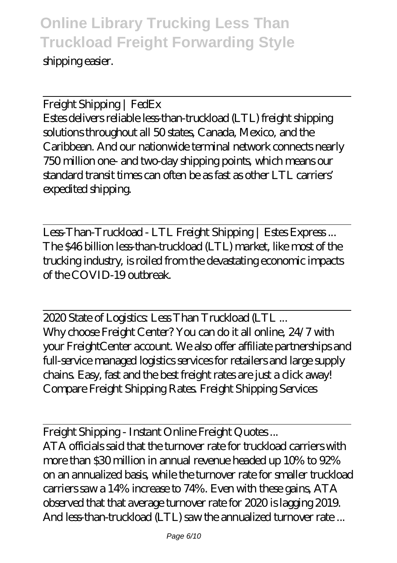shipping easier.

Freight Shipping | FedEx Estes delivers reliable less-than-truckload (LTL) freight shipping solutions throughout all 50 states, Canada, Mexico, and the Caribbean. And our nationwide terminal network connects nearly 750 million one- and two-day shipping points, which means our standard transit times can often be as fast as other LTL carriers' expedited shipping.

Less-Than-Truckload - LTL Freight Shipping | Estes Express ... The \$46 billion less-than-truckload (LTL) market, like most of the trucking industry, is roiled from the devastating economic impacts of the COVID-19 outbreak.

2020 State of Logistics: Less Than Truckload (LTL ... Why choose Freight Center? You can do it all online, 24/7 with your FreightCenter account. We also offer affiliate partnerships and full-service managed logistics services for retailers and large supply chains. Easy, fast and the best freight rates are just a click away! Compare Freight Shipping Rates. Freight Shipping Services

Freight Shipping - Instant Online Freight Quotes ... ATA officials said that the turnover rate for truckload carriers with more than \$30 million in annual revenue headed up 10% to 92% on an annualized basis, while the turnover rate for smaller truckload carriers saw a 14% increase to 74%. Even with these gains, ATA observed that that average turnover rate for 2020 is lagging 2019. And less than-truckload (LTL) saw the annualized turnover rate ...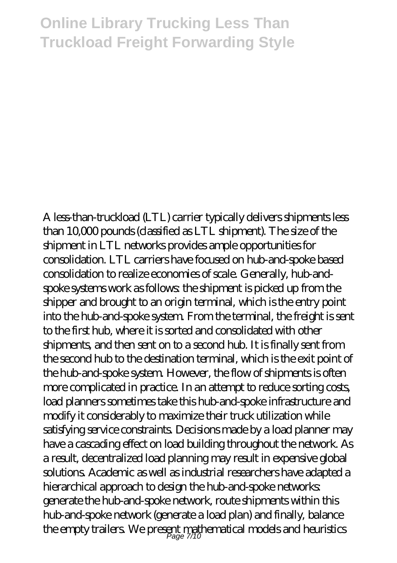A less-than-truckload (LTL) carrier typically delivers shipments less than 10,000 pounds (classified as LTL shipment). The size of the shipment in LTL networks provides ample opportunities for consolidation. LTL carriers have focused on hub-and-spoke based consolidation to realize economies of scale. Generally, hub-andspoke systems work as follows: the shipment is picked up from the shipper and brought to an origin terminal, which is the entry point into the hub-and-spoke system. From the terminal, the freight is sent to the first hub, where it is sorted and consolidated with other shipments, and then sent on to a second hub. It is finally sent from the second hub to the destination terminal, which is the exit point of the hub-and-spoke system. However, the flow of shipments is often more complicated in practice. In an attempt to reduce sorting costs, load planners sometimes take this hub-and-spoke infrastructure and modify it considerably to maximize their truck utilization while satisfying service constraints. Decisions made by a load planner may have a cascading effect on load building throughout the network. As a result, decentralized load planning may result in expensive global solutions. Academic as well as industrial researchers have adapted a hierarchical approach to design the hub-and-spoke networks: generate the hub-and-spoke network, route shipments within this hub-and-spoke network (generate a load plan) and finally, balance the empty trailers. We present mathematical models and heuristics  $\rho_{\text{age}}$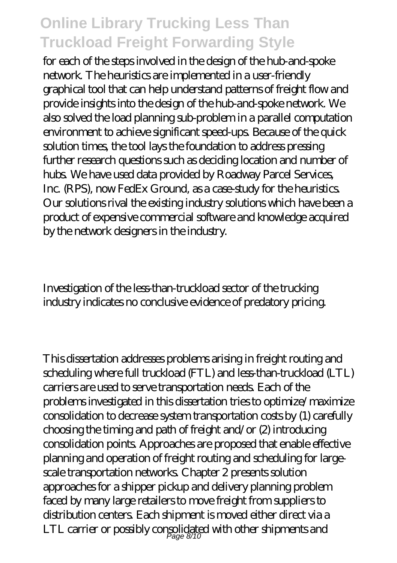for each of the steps involved in the design of the hub-and-spoke network. The heuristics are implemented in a user-friendly graphical tool that can help understand patterns of freight flow and provide insights into the design of the hub-and-spoke network. We also solved the load planning sub-problem in a parallel computation environment to achieve significant speed-ups. Because of the quick solution times, the tool lays the foundation to address pressing further research questions such as deciding location and number of hubs. We have used data provided by Roadway Parcel Services, Inc. (RPS), now FedEx Ground, as a case-study for the heuristics. Our solutions rival the existing industry solutions which have been a product of expensive commercial software and knowledge acquired by the network designers in the industry.

Investigation of the less-than-truckload sector of the trucking industry indicates no conclusive evidence of predatory pricing.

This dissertation addresses problems arising in freight routing and scheduling where full truckload (FTL) and less-than-truckload (LTL) carriers are used to serve transportation needs. Each of the problems investigated in this dissertation tries to optimize/maximize consolidation to decrease system transportation costs by (1) carefully choosing the timing and path of freight and/or (2) introducing consolidation points. Approaches are proposed that enable effective planning and operation of freight routing and scheduling for largescale transportation networks. Chapter 2 presents solution approaches for a shipper pickup and delivery planning problem faced by many large retailers to move freight from suppliers to distribution centers. Each shipment is moved either direct via a LTL carrier or possibly consolidated with other shipments and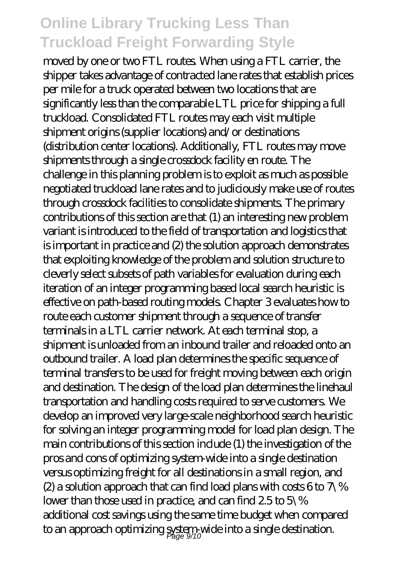moved by one or two FTL routes. When using a FTL carrier, the shipper takes advantage of contracted lane rates that establish prices per mile for a truck operated between two locations that are significantly less than the comparable LTL price for shipping a full truckload. Consolidated FTL routes may each visit multiple shipment origins (supplier locations) and/or destinations (distribution center locations). Additionally, FTL routes may move shipments through a single crossdock facility en route. The challenge in this planning problem is to exploit as much as possible negotiated truckload lane rates and to judiciously make use of routes through crossdock facilities to consolidate shipments. The primary contributions of this section are that (1) an interesting new problem variant is introduced to the field of transportation and logistics that is important in practice and (2) the solution approach demonstrates that exploiting knowledge of the problem and solution structure to cleverly select subsets of path variables for evaluation during each iteration of an integer programming based local search heuristic is effective on path-based routing models. Chapter 3 evaluates how to route each customer shipment through a sequence of transfer terminals in a LTL carrier network. At each terminal stop, a shipment is unloaded from an inbound trailer and reloaded onto an outbound trailer. A load plan determines the specific sequence of terminal transfers to be used for freight moving between each origin and destination. The design of the load plan determines the linehaul transportation and handling costs required to serve customers. We develop an improved very large-scale neighborhood search heuristic for solving an integer programming model for load plan design. The main contributions of this section include (1) the investigation of the pros and cons of optimizing system-wide into a single destination versus optimizing freight for all destinations in a small region, and (2) a solution approach that can find load plans with costs 6 to  $7\%$ lower than those used in practice, and can find 2.5 to 5\% additional cost savings using the same time budget when compared to an approach optimizing  $\frac{1}{\text{Page 9/10}}$ wide into a single destination.